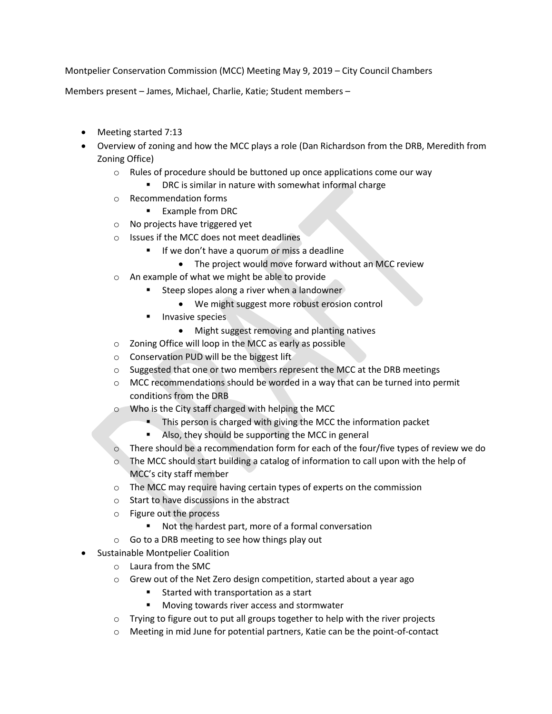Montpelier Conservation Commission (MCC) Meeting May 9, 2019 – City Council Chambers

Members present – James, Michael, Charlie, Katie; Student members –

- Meeting started 7:13
- Overview of zoning and how the MCC plays a role (Dan Richardson from the DRB, Meredith from Zoning Office)
	- o Rules of procedure should be buttoned up once applications come our way
		- DRC is similar in nature with somewhat informal charge
	- o Recommendation forms
		- **Example from DRC**
	- o No projects have triggered yet
	- o Issues if the MCC does not meet deadlines
		- If we don't have a quorum or miss a deadline
			- The project would move forward without an MCC review
	- o An example of what we might be able to provide
		- Steep slopes along a river when a landowner
			- We might suggest more robust erosion control
		- Invasive species
			- Might suggest removing and planting natives
	- o Zoning Office will loop in the MCC as early as possible
	- o Conservation PUD will be the biggest lift
	- o Suggested that one or two members represent the MCC at the DRB meetings
	- $\circ$  MCC recommendations should be worded in a way that can be turned into permit conditions from the DRB
	- o Who is the City staff charged with helping the MCC
		- This person is charged with giving the MCC the information packet
		- Also, they should be supporting the MCC in general
	- o There should be a recommendation form for each of the four/five types of review we do
	- $\circ$  The MCC should start building a catalog of information to call upon with the help of MCC's city staff member
	- $\circ$  The MCC may require having certain types of experts on the commission
	- o Start to have discussions in the abstract
	- o Figure out the process
		- Not the hardest part, more of a formal conversation
	- o Go to a DRB meeting to see how things play out
- **•** Sustainable Montpelier Coalition
	- o Laura from the SMC
	- o Grew out of the Net Zero design competition, started about a year ago
		- Started with transportation as a start
		- **Moving towards river access and stormwater**
	- $\circ$  Trying to figure out to put all groups together to help with the river projects
	- o Meeting in mid June for potential partners, Katie can be the point-of-contact